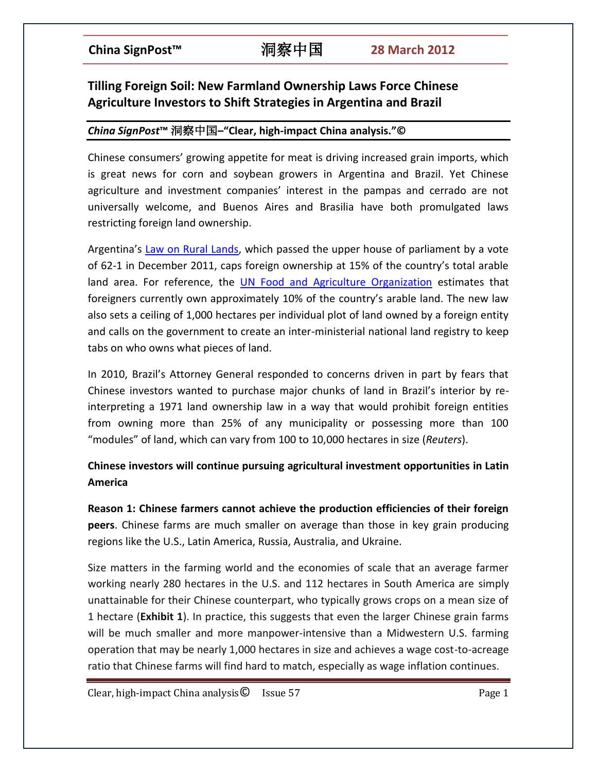# **Tilling Foreign Soil: New Farmland Ownership Laws Force Chinese Agriculture Investors to Shift Strategies in Argentina and Brazil**

### *China SignPost***™** 洞察中国**–"Clear, high-impact China analysis."©**

Chinese consumers' growing appetite for meat is driving increased grain imports, which is great news for corn and soybean growers in Argentina and Brazil. Yet Chinese agriculture and investment companies' interest in the pampas and cerrado are not universally welcome, and Buenos Aires and Brasilia have both promulgated laws restricting foreign land ownership.

Argentina's [Law on Rural Lands,](http://www.mininterior.gov.ar/fronteras/fronteraArchivos/Ley%2026737%20Tierras.pdf) which passed the upper house of parliament by a vote of 62-1 in December 2011, caps foreign ownership at 15% of the country's total arable land area. For reference, the [UN Food and Agriculture Organization](http://internacional.elpais.com/internacional/2011/12/23/actualidad/1324671173_937704.html) estimates that foreigners currently own approximately 10% of the country's arable land. The new law also sets a ceiling of 1,000 hectares per individual plot of land owned by a foreign entity and calls on the government to create an inter-ministerial national land registry to keep tabs on who owns what pieces of land.

In 2010, Brazil's Attorney General responded to concerns driven in part by fears that Chinese investors wanted to purchase major chunks of land in Brazil's interior by reinterpreting a 1971 land ownership law in a way that would prohibit foreign entities from owning more than 25% of any municipality or possessing more than 100 "modules" of land, which can vary from 100 to 10,000 hectares in size (*Reuters*).

## **Chinese investors will continue pursuing agricultural investment opportunities in Latin America**

**Reason 1: Chinese farmers cannot achieve the production efficiencies of their foreign peers**. Chinese farms are much smaller on average than those in key grain producing regions like the U.S., Latin America, Russia, Australia, and Ukraine.

Size matters in the farming world and the economies of scale that an average farmer working nearly 280 hectares in the U.S. and 112 hectares in South America are simply unattainable for their Chinese counterpart, who typically grows crops on a mean size of 1 hectare (**Exhibit 1**). In practice, this suggests that even the larger Chinese grain farms will be much smaller and more manpower-intensive than a Midwestern U.S. farming operation that may be nearly 1,000 hectares in size and achieves a wage cost-to-acreage ratio that Chinese farms will find hard to match, especially as wage inflation continues.

 $Clear, high-impact China analysis  $\odot$  Issue 57 Page 1$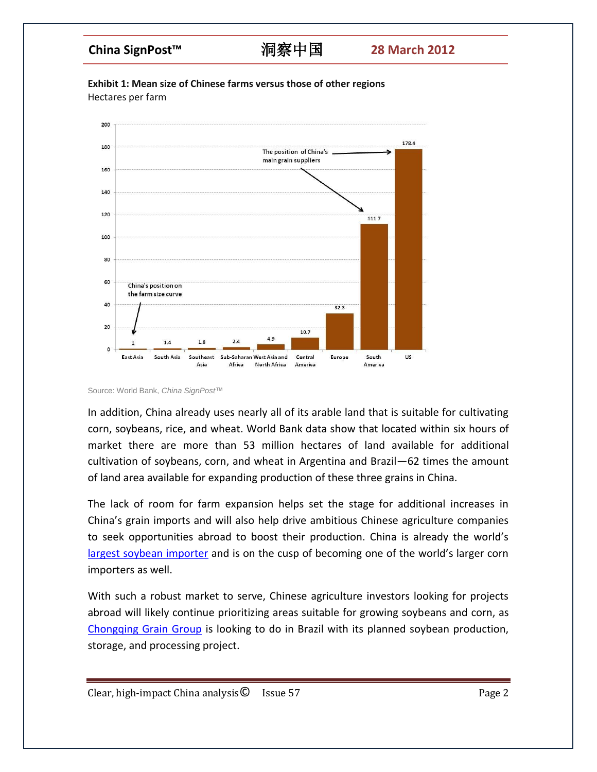



Source: World Bank, *China SignPost*™

In addition, China already uses nearly all of its arable land that is suitable for cultivating corn, soybeans, rice, and wheat. World Bank data show that located within six hours of market there are more than 53 million hectares of land available for additional cultivation of soybeans, corn, and wheat in Argentina and Brazil—62 times the amount of land area available for expanding production of these three grains in China.

The lack of room for farm expansion helps set the stage for additional increases in China's grain imports and will also help drive ambitious Chinese agriculture companies to seek opportunities abroad to boost their production. China is already the world's [largest soybean importer](http://www.ers.usda.gov/Briefing/Soybeansoilcrops/trade.htm) and is on the cusp of becoming one of the world's larger corn importers as well.

With such a robust market to serve, Chinese agriculture investors looking for projects abroad will likely continue prioritizing areas suitable for growing soybeans and corn, as [Chongqing Grain Group](http://www.chinadaily.com.cn/usa/business/2011-11/24/content_14154127.htm) is looking to do in Brazil with its planned soybean production, storage, and processing project.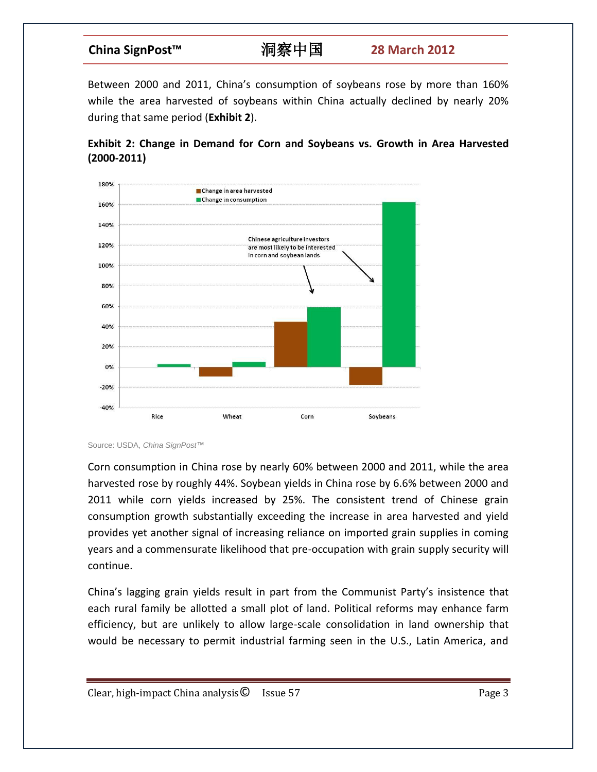Between 2000 and 2011, China's consumption of soybeans rose by more than 160% while the area harvested of soybeans within China actually declined by nearly 20% during that same period (**Exhibit 2**).





Source: USDA, *China SignPost*™

Corn consumption in China rose by nearly 60% between 2000 and 2011, while the area harvested rose by roughly 44%. Soybean yields in China rose by 6.6% between 2000 and 2011 while corn yields increased by 25%. The consistent trend of Chinese grain consumption growth substantially exceeding the increase in area harvested and yield provides yet another signal of increasing reliance on imported grain supplies in coming years and a commensurate likelihood that pre-occupation with grain supply security will continue.

China's lagging grain yields result in part from the Communist Party's insistence that each rural family be allotted a small plot of land. Political reforms may enhance farm efficiency, but are unlikely to allow large-scale consolidation in land ownership that would be necessary to permit industrial farming seen in the U.S., Latin America, and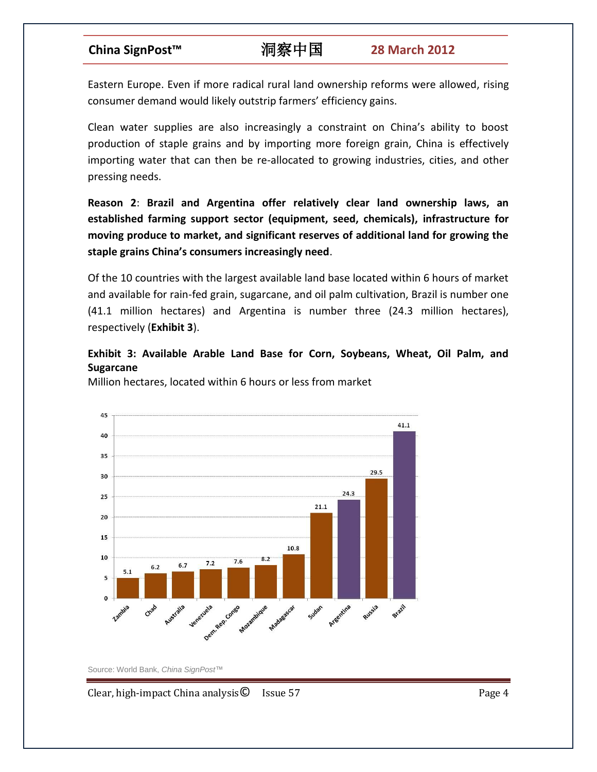Eastern Europe. Even if more radical rural land ownership reforms were allowed, rising consumer demand would likely outstrip farmers' efficiency gains.

Clean water supplies are also increasingly a constraint on China's ability to boost production of staple grains and by importing more foreign grain, China is effectively importing water that can then be re-allocated to growing industries, cities, and other pressing needs.

**Reason 2**: **Brazil and Argentina offer relatively clear land ownership laws, an established farming support sector (equipment, seed, chemicals), infrastructure for moving produce to market, and significant reserves of additional land for growing the staple grains China's consumers increasingly need**.

Of the 10 countries with the largest available land base located within 6 hours of market and available for rain-fed grain, sugarcane, and oil palm cultivation, Brazil is number one (41.1 million hectares) and Argentina is number three (24.3 million hectares), respectively (**Exhibit 3**).

### **Exhibit 3: Available Arable Land Base for Corn, Soybeans, Wheat, Oil Palm, and Sugarcane**

Million hectares, located within 6 hours or less from market



Source: World Bank, *China SignPost*™

Clear, high-impact China analysis C Issue 57 Page 4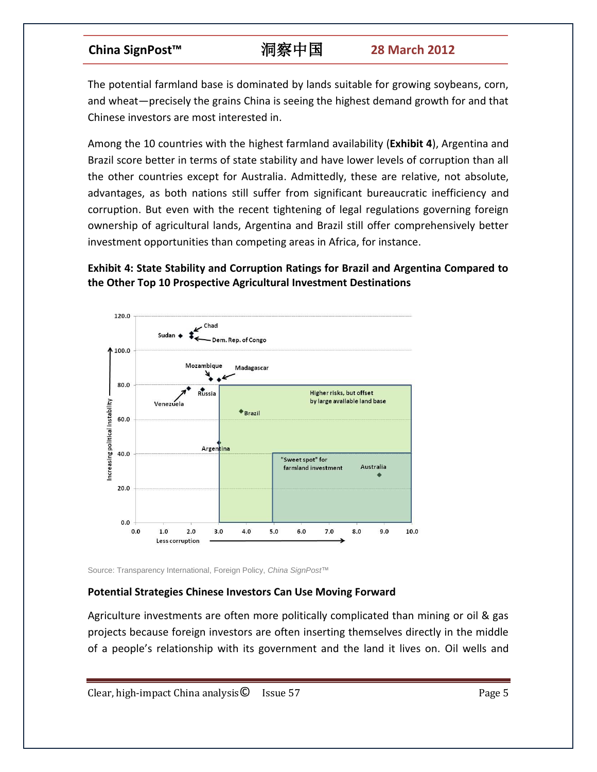The potential farmland base is dominated by lands suitable for growing soybeans, corn, and wheat—precisely the grains China is seeing the highest demand growth for and that Chinese investors are most interested in.

Among the 10 countries with the highest farmland availability (**Exhibit 4**), Argentina and Brazil score better in terms of state stability and have lower levels of corruption than all the other countries except for Australia. Admittedly, these are relative, not absolute, advantages, as both nations still suffer from significant bureaucratic inefficiency and corruption. But even with the recent tightening of legal regulations governing foreign ownership of agricultural lands, Argentina and Brazil still offer comprehensively better investment opportunities than competing areas in Africa, for instance.

### **Exhibit 4: State Stability and Corruption Ratings for Brazil and Argentina Compared to the Other Top 10 Prospective Agricultural Investment Destinations**



Source: Transparency International, Foreign Policy, *China SignPost*™

### **Potential Strategies Chinese Investors Can Use Moving Forward**

Agriculture investments are often more politically complicated than mining or oil & gas projects because foreign investors are often inserting themselves directly in the middle of a people's relationship with its government and the land it lives on. Oil wells and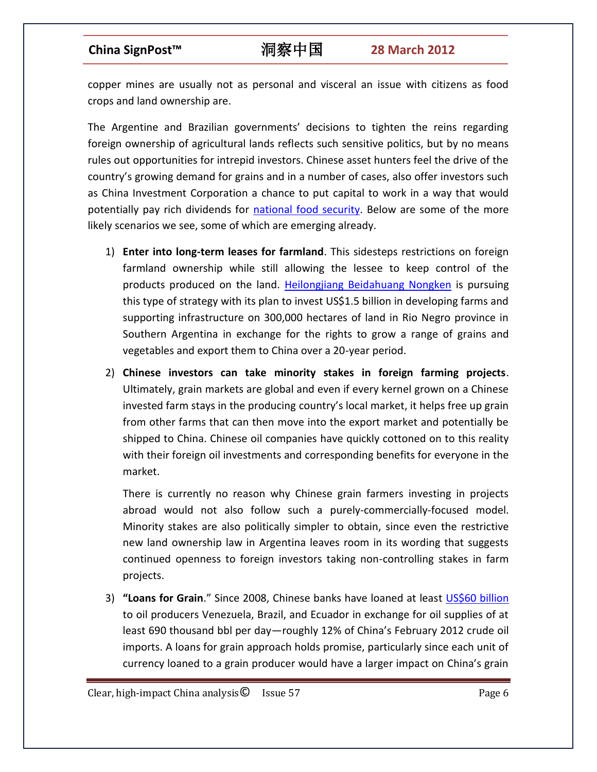copper mines are usually not as personal and visceral an issue with citizens as food crops and land ownership are.

The Argentine and Brazilian governments' decisions to tighten the reins regarding foreign ownership of agricultural lands reflects such sensitive politics, but by no means rules out opportunities for intrepid investors. Chinese asset hunters feel the drive of the country's growing demand for grains and in a number of cases, also offer investors such as China Investment Corporation a chance to put capital to work in a way that would potentially pay rich dividends for [national food security.](http://www.chinasignpost.com/2011/02/468/) Below are some of the more likely scenarios we see, some of which are emerging already.

- 1) **Enter into long-term leases for farmland**. This sidesteps restrictions on foreign farmland ownership while still allowing the lessee to keep control of the products produced on the land. [Heilongjiang Beidahuang Nongken](http://www.ieco.clarin.com/economia/polemica-chinos-trabajan-Rio-Negro_0_542345827.html) is pursuing this type of strategy with its plan to invest US\$1.5 billion in developing farms and supporting infrastructure on 300,000 hectares of land in Rio Negro province in Southern Argentina in exchange for the rights to grow a range of grains and vegetables and export them to China over a 20-year period.
- 2) **Chinese investors can take minority stakes in foreign farming projects**. Ultimately, grain markets are global and even if every kernel grown on a Chinese invested farm stays in the producing country's local market, it helps free up grain from other farms that can then move into the export market and potentially be shipped to China. Chinese oil companies have quickly cottoned on to this reality with their foreign oil investments and corresponding benefits for everyone in the market.

There is currently no reason why Chinese grain farmers investing in projects abroad would not also follow such a purely-commercially-focused model. Minority stakes are also politically simpler to obtain, since even the restrictive new land ownership law in Argentina leaves room in its wording that suggests continued openness to foreign investors taking non-controlling stakes in farm projects.

3) **"Loans for Grain**." Since 2008, Chinese banks have loaned at least [US\\$60 billion](http://ase.tufts.edu/gdae/Pubs/rp/GallagherChineseFinanceLatinAmerica.pdf) to oil producers Venezuela, Brazil, and Ecuador in exchange for oil supplies of at least 690 thousand bbl per day—roughly 12% of China's February 2012 crude oil imports. A loans for grain approach holds promise, particularly since each unit of currency loaned to a grain producer would have a larger impact on China's grain

 $Clear, high-impact China analysis  $\odot$  Issue 57 Page 6$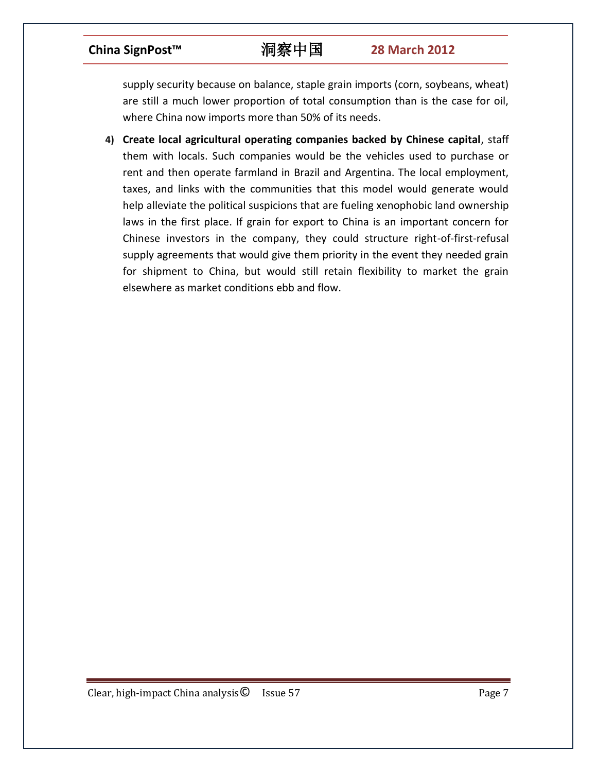supply security because on balance, staple grain imports (corn, soybeans, wheat) are still a much lower proportion of total consumption than is the case for oil, where China now imports more than 50% of its needs.

**4) Create local agricultural operating companies backed by Chinese capital**, staff them with locals. Such companies would be the vehicles used to purchase or rent and then operate farmland in Brazil and Argentina. The local employment, taxes, and links with the communities that this model would generate would help alleviate the political suspicions that are fueling xenophobic land ownership laws in the first place. If grain for export to China is an important concern for Chinese investors in the company, they could structure right-of-first-refusal supply agreements that would give them priority in the event they needed grain for shipment to China, but would still retain flexibility to market the grain elsewhere as market conditions ebb and flow.